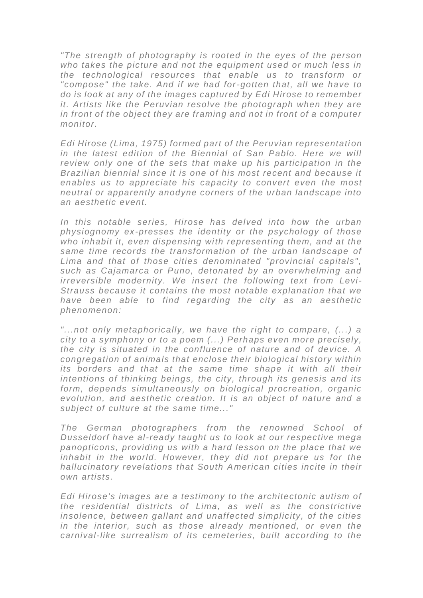*"The strength of photography is rooted in the eyes of the person who takes the picture and not the equipment used or much less in the technological resources that enable us to transform or "compose" the take. And if we had for-gotten that, all we have to do is look at any of the images captured by Edi Hirose to remember it. Artists like the Peruvian resolve the photograph when they are in front of the object they are framing and not in front of a computer monitor.*

*Edi Hirose (Lima, 1975) formed part of the Peruvian representati on*  in the latest edition of the Biennial of San Pablo. Here we will *review only one of the sets that make up his participation in the Brazilian biennial since it is one of his most recent and because it enables us to appreciate his capacity to convert even the most neutral or apparently anodyne corners of the urban landscape into an aesthetic event.*

In this notable series. Hirose has delved into how the urban *physiognomy ex-presses the identity or the psychology of those who inhabit it, even dispensing with representing them, and at the same time records the transformation of the urban landscape of Lima and that of those cities denominated "provincial capitals", such as Cajamarca or Puno, detonated by an overwhelming and irreversible modernity. We insert the following text from Levi-Strauss because it contains the most notable explanation that we have been able to find regarding the city as an aesthetic phenomenon:*

*"...not only metaphorically, we have the right to compare, (...) a city to a symphony or to a poem (...) Perhaps even more precisely, the city is situated in the confluence of nature and of device. A congregation of animals that enclose their biological history within its borders and that at the same time shape it with all their intentions of thinking beings, the city, through its genesis and its form, depends simultaneously on biological procreation, organic evolution, and aesthetic creation. It is an object of nature and a subject of culture at the same time..."*

*The German photographers from the renowned School of Dusseldorf have al-ready taught us to look at our respective mega panopticons, providing us with a hard lesson on the place that we inhabit in the world. However, they did not prepare us for the hallucinatory revelations that South A merican cities incite in their own artists.*

*Edi Hirose's images are a testimony to the architectonic autism of the residential districts of Lima, as well as the constrictive insolence, between gallant and unaffected simplicity, of the cities*  in the interior, such as those already mentioned, or even the *carnival-like surrealism of its cemeteries, built according to the*